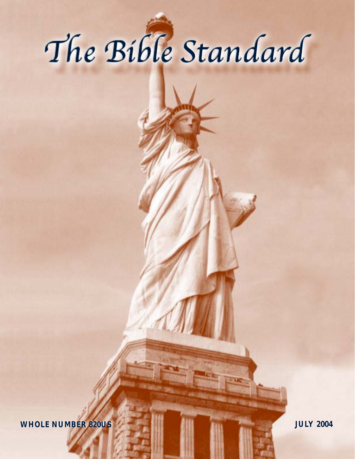# The Bible Standard

**WHOLE NUMBER 820US WHOLE NUMBER 820US JULY 2004 JULY 2004**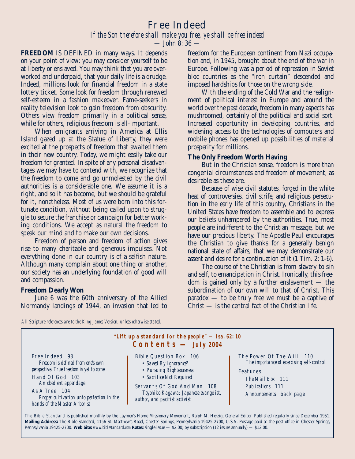# Free Indeed *If the Son therefore shall make you free, ye shall be free indeed*

— John 8: 36 —

**FREEDOM** IS DEFINED in many ways. It depends on your point of view: you may consider yourself to be at liberty or enslaved. You may think that you are overworked and underpaid, that your daily life is a drudge. Indeed, millions look for financial freedom in a state lottery ticket. Some look for freedom through renewed self-esteem in a fashion makeover. Fame-seekers in reality television look to gain freedom from obscurity. Others view freedom primarily in a political sense, while for others, religious freedom is all-important.

When emigrants arriving in America at Ellis Island gazed up at the Statue of Liberty, they were excited at the prospects of freedom that awaited them in their new country. Today, we might easily take our freedom for granted. In spite of any personal disadvantages we may have to contend with, we recognize that the freedom to come and go unmolested by the civil authorities is a considerable one. We assume it is a right, and so it has become, but we should be grateful for it, nonetheless. Most of us were born into this fortunate condition, without being called upon to struggle to secure the franchise or campaign for better working conditions. We accept as natural the freedom to speak our mind and to make our own decisions.

Freedom of person and freedom of action gives rise to many charitable and generous impulses. Not everything done in our country is of a selfish nature. Although many complain about one thing or another, our society has an underlying foundation of good will and compassion.

#### **Freedom Dearly Won**

June 6 was the 60th anniversary of the Allied Normandy landings of 1944, an invasion that led to freedom for the European continent from Nazi occupation and, in 1945, brought about the end of the war in Europe. Following was a period of repression in Soviet bloc countries as the "iron curtain" descended and imposed hardships for those on the wrong side.

With the ending of the Cold War and the realignment of political interest in Europe and around the world over the past decade, freedom in many aspects has mushroomed, certainly of the political and social sort. Increased opportunity in developing countries, and widening access to the technologies of computers and mobile phones has opened up possibilities of material prosperity for millions.

#### **The Only Freedom Worth Having**

But in the Christian sense, freedom is more than congenial circumstances and freedom of movement, as desirable as these are.

Because of wise civil statutes, forged in the white heat of controversies, civil strife, and religious persecution in the early life of this country, Christians in the United States have freedom to assemble and to express our beliefs unhampered by the authorities. True, most people are indifferent to the Christian message, but we have our precious liberty. The Apostle Paul encourages the Christian to give thanks for a generally benign national state of affairs, that we may demonstrate our assent and desire for a continuation of it (1 Tim. 2: 1-6).

The course of the Christian is from slavery to sin and self, to emancipation in Christ. Ironically, this freedom is gained only by a further enslavement — the subordination of our own will to that of Christ. This paradox — to be truly free we must be a captive of Christ — is the central fact of the Christian life.

*All Scripture references are to the King James Version, unless otherwise stated.*



The Bible Standard is published monthly by the Laymen's Home Missionary Movement, Ralph M. Herzig, General Editor. Published regularly since December 1951. **Mailing Address:** The Bible Standard, 1156 St. Matthew's Road, Chester Springs, Pennsylvania 19425-2700, U.S.A. Postage paid at the post office in Chester Springs, Pennsylvania 19425-2700. **Web Site:** *www.biblestandard.com* **Rates:** single issue — \$2.00; by subscription (12 issues annually) — \$12.00.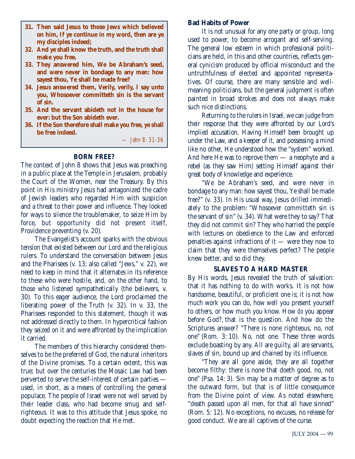- **31. Then said Jesus to those Jews which believed on him, If ye continue in my word, then are ye my disciples indeed;**
- **32. And ye shall know the truth, and the truth shall make you free.**
- **33. They answered him, We be Abraham's seed, and were never in bondage to any man: how sayest thou, Ye shall be made free?**
- **34. Jesus answered them, Verily, verily, I say unto you, Whosoever committeth sin is the servant of sin.**
- **35. And the servant abideth not in the house for ever: but the Son abideth ever.**
- **36. If the Son therefore shall make you free, ye shall be free indeed.**

*— John 8: 31-36*

# **BORN FREE?**

The context of John 8 shows that Jesus was preaching in a public place at the Temple in Jerusalem, probably the Court of the Women, near the Treasury. By this point in His ministry Jesus had antagonized the cadre of Jewish leaders who regarded Him with suspicion and a threat to their power and influence. They looked for ways to silence the troublemaker, to seize Him by force, but opportunity did not present itself, Providence preventing (v. 20).

The Evangelist's account sparks with the obvious tension that existed between our Lord and the religious rulers. To understand the conversation between Jesus and the Pharisees (v. 13; also called "Jews," v. 22), we need to keep in mind that it alternates in its reference to these who were hostile, and, on the other hand, to those who listened sympathetically (the believers, v. 30). To this eager audience, the Lord proclaimed the liberating power of the Truth (v. 32). In v. 33, the Pharisees responded to this statement, though it was not addressed directly to them. In hypercritical fashion they seized on it and were affronted by the implication it carried.

The members of this hierarchy considered themselves to be the preferred of God, the natural inheritors of the Divine promises. To a certain extent, this was true; but over the centuries the Mosaic Law had been perverted to serve the self-interest of certain parties used, in short, as a means of controlling the general populace. The people of Israel were not well served by their leader class, who had become smug and selfrighteous. It was to this attitude that Jesus spoke, no doubt expecting the reaction that He met.

# **Bad Habits of Power**

It is not unusual for any one party or group, long used to power, to become arrogant and self-serving. The general low esteem in which professional politicians are held, in this and other countries, reflects general cynicism produced by official misconduct and the untruthfulness of elected and appointed representatives. Of course, there are many sensible and wellmeaning politicians, but the general judgment is often painted in broad strokes and does not always make such nice distinctions.

Returning to the rulers in Israel, we can judge from their response that they were affronted by our Lord's implied accusation. Having Himself been brought up under the Law, and a keeper of it, and possessing a mind like no other, He understood how the "system" worked. And here He was to reprove them — a neophyte and a rebel (as they saw Him) setting Himself against their great body of knowledge and experience.

"We be Abraham's seed, and were never in bondage to any man: how sayest thou, Ye shall be made free?" (v. 33). In His usual way, Jesus drilled immediately to the problem: "Whosoever committeth sin is the servant of sin" (v. 34). What were they to say? That they did not commit sin? They who harried the people with lectures on obedience to the Law and enforced penalties against infractions of it — were they now to claim that they were themselves perfect? The people knew better, and so did they.

# **SLAVES TO A HARD MASTER**

By His words, Jesus revealed the truth of salvation: that it has nothing to do with works. It is not how handsome, beautiful, or proficient one is; it is not how much work you can do, how well you present yourself to others, or how much you know. How *do* you appear before God?, that is the question. And how do the Scriptures answer? "There is none righteous, no, not one" (Rom. 3: 10). No, not one. These three words exclude boasting by any. All are guilty, all are servants, slaves of sin, bound up and chained by its influence.

"They are all gone aside, they are all together become filthy: there is none that doeth good, no, not one" (Psa. 14: 3). Sin may be a matter of degree as to the outward form, but that is of little consequence from the Divine point of view. As noted elsewhere, "death passed upon all men, for that all have sinned" (Rom. 5: 12). No exceptions, no excuses, no release for good conduct. We are all captives of the curse.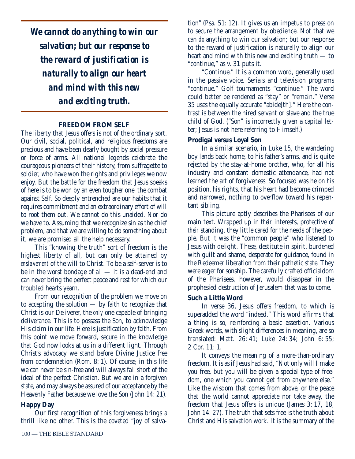*We cannot do anything to win our salvation; but our response to the reward of justification is naturally to align our heart and mind with this new and exciting truth.*

#### **FREEDOM FROM SELF**

The liberty that Jesus offers is not of the ordinary sort. Our civil, social, political, and religious freedoms are precious and have been dearly bought by social pressure or force of arms. All national legends celebrate the courageous pioneers of their history, from suffragette to soldier, who have won the rights and privileges we now enjoy. But the battle for the freedom that Jesus speaks of here is to be won by an even tougher one: the combat against Self. So deeply entrenched are our habits that it requires commitment and an extraordinary effort of will to root them out. We cannot do this unaided. Nor do we have to. Assuming that we recognize sin as the chief problem, and that we are willing to do something about it, we are promised all the help necessary.

This "knowing the truth" sort of freedom is the highest liberty of all, but can only be attained by *enslavement* of the will to Christ. To be a self-server is to be in the worst bondage of all — it is a dead-end and can never bring the perfect peace and rest for which our troubled hearts yearn.

From our recognition of the problem we move on to accepting the solution — by faith to recognize that Christ is our Deliverer, the *only* one capable of bringing deliverance. This is to possess the Son, to acknowledge His claim in our life. Here is justification by faith. From this point we move forward, secure in the knowledge that God now looks at us in a different light. Through Christ's advocacy we stand before Divine Justice free from condemnation (Rom. 8: 1). Of course, in this life we can never be sin-free and will always fall short of the ideal of the perfect Christian. But we are in a forgiven state, and may always be assured of our acceptance by the Heavenly Father because we love the Son (John 14: 21).

# **Happy Day**

Our first recognition of this forgiveness brings a thrill like no other. This is the coveted "joy of salva-

100 — THE BIBLE STANDARD

tion" (Psa. 51: 12). It gives us an impetus to press on to secure the arrangement by obedience. Not that we can *do* anything to win our salvation; but our response to the reward of justification is naturally to align our heart and mind with this new and exciting truth — to "continue," as v. 31 puts it.

"Continue." It is a common word, generally used in the passive voice. Serials and television programs "continue." Golf tournaments "continue." The word could better be rendered as "stay" or "remain." Verse 35 uses the equally accurate "abide[th]." Here the contrast is between the hired servant or slave and the true child of God. ("Son" is incorrectly given a capital letter; Jesus is not here referring to Himself.)

#### **Prodigal** *versus* **Loyal Son**

In a similar scenario, in Luke 15, the wandering boy lands back home, to his father's arms, and is quite rejected by the stay-at-home brother, who, for all his industry and constant domestic attendance, had not learned the art of forgiveness. So focused was he on *his* position, *his* rights, that his heart had become crimped and narrowed, nothing to overflow toward his repentant sibling.

This picture aptly describes the Pharisees of our main text. Wrapped up in *their* interests, protective of *their* standing, they little cared for the needs of the people. But it was the "common people" who listened to Jesus with delight. These, destitute in spirit, burdened with guilt and shame, desperate for guidance, found in the Redeemer liberation from their pathetic state. They were eager for sonship. The carefully crafted officialdom of the Pharisees, however, would disappear in the prophesied destruction of Jerusalem that was to come.

# **Such a Little Word**

In verse 36, Jesus offers freedom, to which is superadded the word "indeed." This word affirms that a thing is so, reinforcing a basic assertion. Various Greek words, with slight differences in meaning, are so translated: Matt. 26: 41; Luke 24: 34; John 6: 55; 2 Cor. 11: 1.

It conveys the meaning of a more-than-ordinary freedom. It is as if Jesus had said, "Not only will I make you free, but you will be given a special type of freedom, one which you cannot get from anywhere else." Like the wisdom that comes from above, or the peace that the world cannot appreciate nor take away, the freedom that Jesus offers is unique (James 3: 17, 18; John 14: 27). The truth that sets free is the truth about Christ and His salvation work. It is the summary of the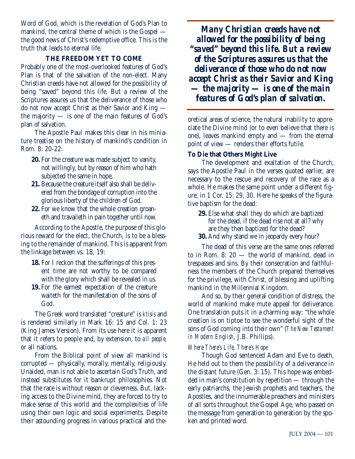Word of God, which is the revelation of God's Plan to mankind, the central theme of which is the Gospel the good news of Christ's redemptive office. This is the truth that leads to eternal life.

# **THE FREEDOM YET TO COME**

Probably one of the most-overlooked features of God's Plan is that of the salvation of the non-elect. Many Christian creeds have not allowed for the possibility of being "saved" beyond this life. But a review of the Scriptures assures us that the deliverance of those who do not now accept Christ as their Savior and King the majority — is one of the main features of God's plan of salvation.

The Apostle Paul makes this clear in his miniature treatise on the history of mankind's condition in Rom. 8: 20-22:

- **20.** For the creature was made subject to vanity, not willingly, but by reason of him who hath subjected the same in hope,
- **21.** Because the creature itself also shall be delivered from the bondage of corruption into the glorious liberty of the children of God.
- **22.** For we know that the whole creation groaneth and travaileth in pain together until now.

According to the Apostle, the purpose of this glorious reward for the elect, the Church, is to be a blessing to the remainder of mankind. This is apparent from the linkage between vs. 18, 19:

- **18.** For I reckon that the sufferings of this present time are not worthy to be compared with the glory which shall be revealed in us.
- **19.** For the earnest expectation of the creature waiteth for the manifestation of the sons of God.

The Greek word translated "creature" is *ktisis* and is rendered similarly in Mark 16: 15 and Col. 1: 23 (King James Version). From its use here it is apparent that it refers to people and, by extension, to *all people,* or all nations.

From the Biblical point of view all mankind is corrupted — physically, morally, mentally, religiously. Unaided, man is not able to ascertain God's Truth, and instead substitutes for it bankrupt philosophies. Not that the race is without reason or cleverness. But, lacking access to the Divine mind, they are forced to try to make sense of this world and the complexities of life using their own logic and social experiments. Despite their astounding progress in various practical and the-

*Many Christian creeds have not allowed for the possibility of being "saved" beyond this life. But a review of the Scriptures assures us that the deliverance of those who do not now accept Christ as their Savior and King — the majority — is one of the main features of God's plan of salvation.*

oretical areas of science, the natural inability to appreciate the Divine mind (or to even believe that there is one), leaves mankind empty and — from the eternal point of view — renders their efforts futile.

# **To Die that Others Might Live**

The development and exaltation of the Church, says the Apostle Paul in the verses quoted earlier, are necessary to the rescue and recovery of the race as a whole. He makes the same point under a different figure, in 1 Cor. 15: 29, 30. Here he speaks of the figurative baptism for the dead:

- **29.** Else what shall they do which are baptized for the dead, if the dead rise not at all? why are they then baptized for the dead?
- **30.** And why stand we in jeopardy every hour?

The dead of this verse are the same ones referred to in Rom. 8: 20 — the world of mankind, dead in trespasses and sins. By their consecration and faithfulness the members of the Church prepared themselves for the privilege, with Christ, of blessing and uplifting mankind in the Millennial Kingdom.

And so, by their general condition of distress, the world of mankind make mute appeal for deliverance. One translation puts it in a charming way: "the whole creation is on tiptoe to see the wonderful sight of the sons of God coming into their own" (*The New Testament in Modern English,* J.B. Phillips).

# *Where There's Life, There's Hope*

Though God sentenced Adam and Eve to death, He held out to them the possibility of a deliverance in the distant future (Gen. 3: 15). This hope was embedded in man's constitution by repetition — through the early patriarchs, the Jewish prophets and teachers, the Apostles, and the innumerable preachers and ministers of all sorts throughout the Gospel Age, who passed on the message from generation to generation by the spoken and printed word.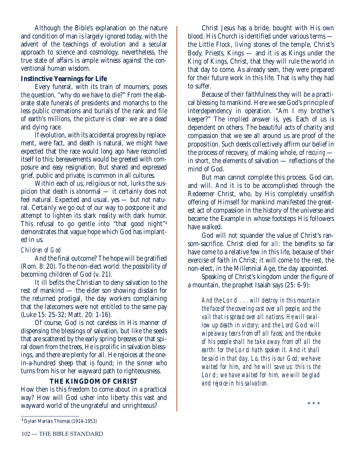Although the Bible's explanation on the nature and condition of man is largely ignored today, with the advent of the teachings of evolution and a secular approach to science and cosmology, nevertheless, the true state of affairs is ample witness against the conventional human wisdom.

# **Instinctive Yearnings for Life**

Every funeral, with its train of mourners, poses the question, "why do we have to die?" From the elaborate state funerals of presidents and monarchs to the less public cremations and burials of the rank and file of earth's millions, the picture is clear: we are a dead and dying race.

If evolution, with its accidental progress by replacement, were fact, and death is natural, we might have expected that the race would long ago have reconciled itself to this; bereavements would be greeted with composure and easy resignation. But shared and expressed grief, public and private, is common in all cultures.

Within each of us, religious or not, lurks the suspicion that death is *ab*normal — it certainly does not feel natural. Expected and usual, yes — but not natural. Certainly we go out of our way to postpone it and attempt to lighten its stark reality with dark humor. This refusal to go gentle into "that good night"**<sup>1</sup>** demonstrates that vague hope which God has implanted in us.

# *Children of God*

And the final outcome? The hope will be gratified (Rom. 8: 20). To the non-elect world: the possibility of becoming children of God (v. 21).

It ill befits the Christian to deny salvation to the rest of mankind — the elder son showing disdain for the returned prodigal, the day workers complaining that the latecomers were not entitled to the same pay (Luke 15: 25-32; Matt. 20: 1-16).

Of course, God is not careless in His manner of dispensing the blessings of salvation, but like the seeds that are scattered by the early spring breezes or that spiral down from the trees, He is prolific in salvation blessings, and there are plenty for all. He rejoices at the onein-a-hundred sheep that is found; in the sinner who turns from his or her wayward path to righteousness.

# **THE KINGDOM OF CHRIST**

How then is this freedom to come about in a practical way? How will God usher into liberty this vast and wayward world of the ungrateful and unrighteous?

Christ Jesus has a bride, bought with His own blood. His Church is identified under various terms the Little Flock, living stones of the temple, Christ's Body, Priests, Kings — and it is as Kings under the King of Kings, Christ, that they will rule the world in that day to come. As already seen, they were prepared for their future work in this life. That is why they had to suffer.

Because of their faithfulness they will be a practical blessing to mankind. Here we see God's principle of interdependency in operation. "Am I my brother's keeper?" The implied answer is, yes. Each of us is dependent on others. The beautiful acts of charity and compassion that we see all around us are proof of the proposition. Such deeds collectively affirm our belief in the process of recovery, of making whole, of *rescuing*  in short, the elements of salvation — reflections of the mind of God.

But man cannot complete this process. God can, and will. And it is to be accomplished through the Redeemer Christ, who, by His completely unselfish offering of Himself for mankind manifested the greatest act of compassion in the history of the universe and became the Example in whose footsteps His followers have walked.

God will not squander the value of Christ's ransom-sacrifice. Christ died for *all:* the benefits so far have come to a relative few in this life, because of their exercise of faith in Christ; it will come to the rest, the non-elect, in the Millennial Age, the day appointed.

Speaking of Christ's kingdom under the figure of a mountain, the prophet Isaiah says (25: 6-9):

*And the* Lord *... will destroy in this mountain the face of the covering cast over all people, and the vail that is spread over all nations. He will swallow up death in victory; and the Lord* God *will wipe away tears from off all faces; and the rebuke of his people shall he take away from off all the earth: for the* Lord *hath spoken it. And it shall be said in that day, Lo, this is our God; we have waited for him, and he will save us: this is the* Lord*; we have waited for him, we will be glad and rejoice in his salvation.*

**<sup>1</sup>**Dylan Marlais Thomas (1914-1953)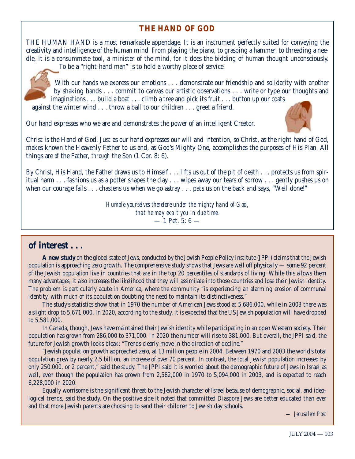# **THE HAND OF GOD**

THE HUMAN HAND is a most remarkable appendage. It is an instrument perfectly suited for conveying the creativity and intelligence of the human mind. From playing the piano, to grasping a hammer, to threading a needle, it is a consummate tool, a minister of the mind, for it does the bidding of human thought unconsciously.



To be a "right-hand man" is to hold a worthy place of service.

With our hands we express our emotions . . . demonstrate our friendship and solidarity with another by shaking hands... commit to canvas our artistic observations... write or type our thoughts and imaginations... build a boat... climb a tree and pick its fruit... button up our coats against the winter wind... throw a ball to our children... greet a friend.

Our hand expresses who we are and demonstrates the power of an intelligent Creator.



Christ is the Hand of God. Just as our hand expresses our will and intention, so Christ, as the right hand of God, makes known the Heavenly Father to us and, as God's Mighty One, accomplishes the purposes of His Plan. All things are *of* the Father, *through* the Son (1 Cor. 8: 6).

By Christ, His Hand, the Father draws us to Himself . . . lifts us out of the pit of death . . . protects us from spiritual harm... fashions us as a potter shapes the clay... wipes away our tears of sorrow... gently pushes us on when our courage fails... chastens us when we go astray... pats us on the back and says, "Well done!"

> *Humble yourselves therefore under the mighty hand of God, that he may exalt you in due time.*  $-1$  Pet. 5: 6  $-$

# **of interest . . .**

**A new study** on the global state of Jews, conducted by the Jewish People Policy Institute (JPPI) claims that the Jewish population is approaching zero growth. The comprehensive study shows that Jews are well off physically — some 92 percent of the Jewish population live in countries that are in the top 20 percentiles of standards of living. While this allows them many advantages, it also increases the likelihood that they will assimilate into those countries and lose their Jewish identity. The problem is particularly acute in America, where the community "is experiencing an alarming erosion of communal identity, with much of its population doubting the need to maintain its distinctiveness."

The study's statistics show that in 1970 the number of American Jews stood at 5,686,000, while in 2003 there was a slight drop to 5,671,000. In 2020, according to the study, it is expected that the US Jewish population will have dropped to 5,581,000.

In Canada, though, Jews have maintained their Jewish identity while participating in an open Western society. Their population has grown from 286,000 to 371,000. In 2020 the number will rise to 381,000. But overall, the JPPI said, the future for Jewish growth looks bleak: "Trends clearly move in the direction of decline."

"Jewish population growth approached zero, at 13 million people in 2004. Between 1970 and 2003 the world's total population grew by nearly 2.5 billion, an increase of over 70 percent. In contrast, the total Jewish population increased by only 250,000, or 2 percent," said the study. The JPPI said it is worried about the demographic future of Jews in Israel as well, even though the population has grown from 2,582,000 in 1970 to 5,094,000 in 2003, and is expected to reach 6,228,000 in 2020.

Equally worrisome is the significant threat to the Jewish character of Israel because of demographic, social, and ideological trends, said the study. On the positive side it noted that committed Diaspora Jews are better educated than ever and that more Jewish parents are choosing to send their children to Jewish day schools.

*— Jerusalem Post*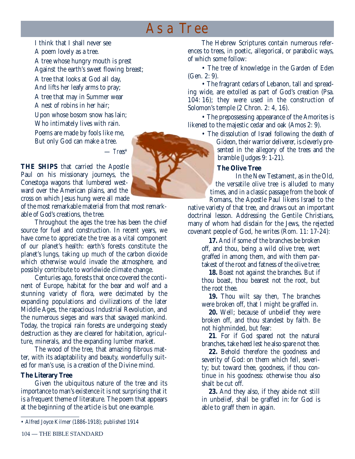# As a Tree

I think that I shall never see A poem lovely as a tree. A tree whose hungry mouth is prest Against the earth's sweet flowing breast; A tree that looks at God all day, And lifts her leafy arms to pray; A tree that may in Summer wear A nest of robins in her hair; Upon whose bosom snow has lain; Who intimately lives with rain. Poems are made by fools like me, But only God can make a tree.

— *Trees\**

**THE SHIPS** that carried the Apostle Paul on his missionary journeys, the Conestoga wagons that lumbered westward over the American plains, and the cross on which Jesus hung were all made

of the most remarkable material from that most remarkable of God's creations, the tree.

Throughout the ages the tree has been the chief source for fuel and construction. In recent years, we have come to appreciate the tree as a vital component of our planet's health: earth's forests constitute the planet's lungs, taking up much of the carbon dioxide which otherwise would invade the atmosphere, and possibly contribute to worldwide climate change.

Centuries ago, forests that once covered the continent of Europe, habitat for the bear and wolf and a stunning variety of flora, were decimated by the expanding populations and civilizations of the later Middle Ages, the rapacious Industrial Revolution, and the numerous sieges and wars that savaged mankind. Today, the tropical rain forests are undergoing steady destruction as they are cleared for habitation, agriculture, minerals, and the expanding lumber market.

The wood of the tree, that amazing fibrous matter, with its adaptability and beauty, wonderfully suited for man's use, is a creation of the Divine mind.

# **The Literary Tree**

Given the ubiquitous nature of the tree and its importance to man's existence it is not surprising that it is a frequent theme of literature. The poem that appears at the beginning of the article is but one example.

The Hebrew Scriptures contain numerous references to trees, in poetic, allegorical, or parabolic ways, of which some follow:

• The tree of knowledge in the Garden of Eden (Gen. 2: 9).

• The fragrant cedars of Lebanon, tall and spreading wide, are extolled as part of God's creation (Psa. 104: 16); they were used in the construction of Solomon's temple (2 Chron. 2: 4, 16).

• The prepossessing appearance of the Amorites is likened to the majestic cedar and oak (Amos 2: 9).

• The dissolution of Israel following the death of Gideon, their warrior deliverer, is cleverly presented in the allegory of the trees and the bramble (Judges 9: 1-21).

#### **The Olive Tree**

In the New Testament, as in the Old, the versatile olive tree is alluded to many times, and in a classic passage from the book of Romans, the Apostle Paul likens Israel to the

native variety of that tree, and draws out an important doctrinal lesson. Addressing the Gentile Christians, many of whom had disdain for the Jews, the rejected covenant people of God, he writes (Rom. 11: 17-24):

**17.** And if some of the branches be broken off, and thou, being a wild olive tree, wert graffed in among them, and with them partakest of the root and fatness of the olive tree;

**18.** Boast not against the branches. But if thou boast, thou bearest not the root, but the root thee.

**19.** Thou wilt say then, The branches were broken off, that I might be graffed in.

**20.** Well; because of unbelief they were broken off, and thou standest by faith. Be not highminded, but fear:

**21**. For if God spared not the natural branches, take heed lest he also spare not thee.

**22.** Behold therefore the goodness and severity of God: on them which fell, severity; but toward thee, goodness, if thou continue in his goodness: otherwise thou also shalt be cut off.

**23.** And they also, if they abide not still in unbelief, shall be graffed in: for God is able to graff them in again.

<sup>•</sup> Alfred Joyce Kilmer (1886-1918); published 1914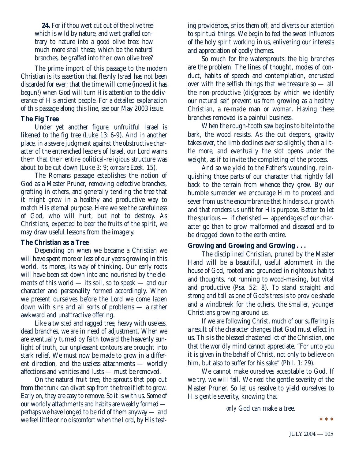**24.** For if thou wert cut out of the olive tree which is wild by nature, and wert graffed contrary to nature into a good olive tree: how much more shall these, which be the natural branches, be graffed into their own olive tree?

The prime import of this passage to the modern Christian is its assertion that fleshly Israel has not been discarded for ever; that the time will come (indeed it has begun!) when God will turn His attention to the deliverance of His ancient people. For a detailed explanation of this passage along this line, see our May 2003 issue.

# **The Fig Tree**

Under yet another figure, unfruitful Israel is likened to the fig tree (Luke 13: 6-9). And in another place, in a severe judgment against the obstructive character of the entrenched leaders of Israel, our Lord warns them that their entire political-religious structure was about to be cut down (Luke 3: 9; *compare* Ezek. 15).

The Romans passage establishes the notion of God as a Master Pruner, removing defective branches, grafting in others, and generally tending the tree that it might grow in a healthy and productive way to match His eternal purpose. Here we see the carefulness of God, who will hurt, but not to destroy. As Christians, expected to bear the fruits of the spirit, we may draw useful lessons from the imagery.

# **The Christian as a Tree**

Depending on when we became a Christian we will have spent more or less of our years growing in this world, its mores, its way of thinking. Our early roots will have been set down into and nourished by the elements of this world — its soil, so to speak — and our character and personality formed accordingly. When we present ourselves before the Lord we come laden down with sins and all sorts of problems — a rather awkward and unattractive offering.

Like a twisted and ragged tree, heavy with useless, dead branches, we are in need of adjustment. When we are eventually turned by faith toward the heavenly sunlight of truth, our unpleasant contours are brought into stark relief. We must now be made to grow in a different direction, and the useless attachments — worldly affections and vanities and lusts — must be removed.

On the natural fruit tree, the sprouts that pop out from the trunk can divert sap from the tree if left to grow. Early on, they are easy to remove. So it is with us. Some of our worldly attachments and habits are weakly formed perhaps we have longed to be rid of them anyway — and we feel little or no discomfort when the Lord, by His testing providences, snips them off, and diverts our attention to spiritual things. We begin to feel the sweet influences of the holy spirit working in us, enlivening our interests and appreciation of godly themes.

So much for the watersprouts: the big branches are the problem. The lines of thought, modes of conduct, habits of speech and contemplation, encrusted over with the selfish things that we treasure so — all the non-productive (dis)graces by which we identify our natural self prevent us from growing as a healthy Christian, a re-made man or woman. Having these branches removed is a painful business.

When the rough-tooth saw begins to bite into the bark, the wood resists. As the cut deepens, gravity takes over, the limb declines ever so slightly, then a little more, and eventually the slot opens under the weight, as if to invite the completing of the process.

And so we yield to the Father's wounding, relinquishing those parts of our character that rightly fall back to the terrain from whence they grew. By our humble surrender we encourage Him to proceed and sever from us the encumbrance that hinders our growth and that renders us unfit for His purpose. Better to let the spurious — if cherished — appendages of our character go than to grow malformed and diseased and to be dragged down to the earth entire.

# **Growing and Growing and Growing . . .**

The disciplined Christian, pruned by the Master Hand will be a beautiful, useful adornment in the house of God, rooted and grounded in righteous habits and thoughts, not running to wood-making, but vital and productive (Psa. 52: 8). To stand straight and strong and tall as one of God's trees is to provide shade and a windbreak for the others, the smaller, younger Christians growing around us.

If we are following Christ, much of our suffering is a result of the character changes that God must effect in us. This is the blessed chastened lot of the Christian, one that the worldly mind cannot appreciate. "For unto you it is given in the behalf of Christ, not only to believe on him, but also to suffer for his sake" (Phil. 1: 29).

We cannot make ourselves acceptable to God. If we try, we will fail. We *need* the gentle severity of the Master Pruner. So let us resolve to yield ourselves to His gentle severity, knowing that

*only* God can make a tree.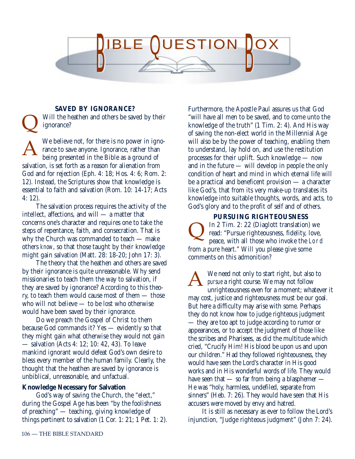

#### **SAVED BY IGNORANCE?**

 $\overline{\mathsf{Q}}$ 

Will the heathen and others be saved by their ignorance?

We believe not, for there is no power in ignorance to save anyone. Ignorance, rather than being presented in the Bible as a ground of salvation, is set forth as a reason for alienation from God and for rejection (Eph. 4: 18; Hos. 4: 6; Rom. 2: 12). Instead, the Scriptures show that knowledge is essential to faith and salvation (Rom. 10: 14-17; Acts 4: 12). A

The salvation process requires the activity of the intellect, affections, and will — a matter that concerns one's character and requires one to take the steps of repentance, faith, and consecration. That is why the Church was commanded to teach — make others *know*, so that those taught by their knowledge might gain salvation (Matt. 28: 18-20; John 17: 3).

The theory that the heathen and others are saved by their ignorance is quite unreasonable. Why send missionaries to teach them the way to salvation, if they are saved by ignorance? According to this theory, to teach them would cause most of them — those who will not believe — to be lost who otherwise would have been saved by their ignorance.

Do we preach the Gospel of Christ to them because God commands it? Yes — evidently so that they might gain what otherwise they would not gain — salvation (Acts 4: 12; 10: 42, 43). To leave mankind ignorant would defeat God's own desire to bless every member of the human family. Clearly, the thought that the heathen are saved by ignorance is unbiblical, unreasonable, and unfactual.

# **Knowledge Necessary for Salvation**

God's way of saving the Church, the "elect," during the Gospel Age has been "by the foolishness of preaching" — teaching, giving knowledge of things pertinent to salvation (1 Cor. 1: 21; 1 Pet. 1: 2). Furthermore, the Apostle Paul assures us that God "will have all men to be saved, and to come unto the knowledge of the truth" (1 Tim. 2: 4). And His way of saving the non-elect world in the Millennial Age will also be by the power of teaching, enabling them to understand, lay hold on, and use the restitution processes for their uplift. Such knowledge — now and in the future — will develop in people the only condition of heart and mind in which eternal life will be a practical and beneficent provision — a character like God's, that from its very make-up translates its knowledge into suitable thoughts, words, and acts, to God's glory and to the profit of self and of others.

**PURSUING RIGHTEOUSNESS** In 2 Tim. 2: 22 (Diaglott translation) we read: "Pursue righteousness, fidelity, love, peace, with all those who invoke the Lord from a pure heart." Will you please give some comments on this admonition?  $\overline{\mathsf{Q}}$ 

We need not only to start right, but also to *pursue* a right course. We may not follow unrighteousness even for a moment; whatever it may cost, justice and righteousness must be our goal. But here a difficulty may arise with some. Perhaps they do not know how to judge righteous judgment — they are too apt to judge according to rumor or appearances, or to accept the judgment of those like the scribes and Pharisees, as did the multitude which cried, "Crucify Him! His blood be upon us and upon our children." Had they followed righteousness, they would have seen the Lord's character in His good works and in His wonderful words of life. They would have seen that — so far from being a blasphemer — He was "holy, harmless, undefiled, separate from sinners" (Heb. 7: 26). They would have seen that His accusers were moved by envy and hatred. A

It is still as necessary as ever to follow the Lord's injunction, "Judge righteous judgment" (John 7: 24).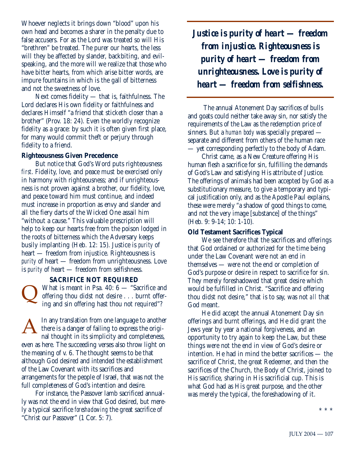Whoever neglects it brings down "blood" upon his own head and becomes a sharer in the penalty due to false accusers. For as the Lord was treated so will His "brethren" be treated. The purer our hearts, the less will they be affected by slander, backbiting, and evilspeaking, and the more will we realize that those who have bitter hearts, from which arise bitter words, are impure fountains in which is the gall of bitterness and not the sweetness of love.

Next comes fidelity — that is, faithfulness. The Lord declares His own fidelity or faithfulness and declares Himself "a friend that sticketh closer than a brother" (Prov. 18: 24). Even the worldly recognize fidelity as a grace: by such it is often given first place, for many would commit theft or perjury through fidelity to a friend.

#### **Righteousness Given Precedence**

But notice that God's Word puts righteousness *first*. Fidelity, love, and peace must be exercised only in harmony with righteousness; and if unrighteousness is not proven against a brother, our fidelity, love, and peace toward him must continue, and indeed must increase in proportion as envy and slander and all the fiery darts of the Wicked One assail him "without a cause." This valuable prescription will help to keep our hearts free from the poison lodged in the roots of bitterness which the Adversary keeps busily implanting (Heb. 12: 15). Justice is *purity* of heart — freedom from injustice. Righteousness is *purity* of heart — freedom from unrighteousness. Love is *purity* of heart — freedom from selfishness.

#### **SACRIFICE NOT REQUIRED**

What is meant in Psa. 40: 6 — "Sacrifice and offering thou didst not desire . . . burnt offering and sin offering hast thou not required"?  $\overline{\mathsf{Q}}$ 

In any translation from one language to another there is a danger of failing to express the original thought in its simplicity and completeness, even as here. The succeeding verses also throw light on the meaning of v. 6. The thought seems to be that although God desired and intended the establishment of the Law Covenant with its sacrifices and arrangements for the people of Israel, that was not the full completeness of God's intention and desire. A

For instance, the Passover lamb sacrificed annually was not the end in view that God desired, but merely a typical sacrifice *foreshadowing* the great sacrifice of "Christ our Passover" (1 Cor. 5: 7).

*Justice is purity of heart — freedom from injustice. Righteousness is purity of heart — freedom from unrighteousness. Love is purity of heart — freedom from selfishness.*

The annual Atonement Day sacrifices of bulls and goats could neither take away sin, nor satisfy the requirements of the Law as the redemption price of sinners. But a *human body* was specially prepared separate and different from others of the human race — yet corresponding perfectly to the body of Adam.

Christ came, as a New Creature offering His human flesh a sacrifice for sin, fulfilling the demands of God's Law and satisfying His attribute of Justice. The offerings of animals had been accepted by God as a substitutionary measure, to give a temporary and typical justification only, and as the Apostle Paul explains, these were merely "a shadow of good things to come, and not the very image [substance] of the things" (Heb. 9: 9-14; 10: 1-10).

#### **Old Testament Sacrifices Typical**

We see therefore that the sacrifices and offerings that God ordained or authorized for the time being under the Law Covenant were not an end in themselves — were not the end or completion of God's purpose or desire in respect to sacrifice for sin. They merely foreshadowed that great desire which would be fulfilled in Christ. "Sacrifice and offering thou didst not desire," that is to say, was not *all* that God meant.

He did accept the annual Atonement Day sin offerings and burnt offerings, and He did grant the Jews year by year a national forgiveness, and an opportunity to try again to keep the Law, but these things were not the end in view of God's desire or intention. He had in mind the better sacrifices — the sacrifice of Christ, the great Redeemer, and then the sacrifices of the Church, the Body of Christ, joined to His sacrifice, sharing in His sacrificial cup. This is what God had as His great purpose, and the other was merely the typical, the foreshadowing of it.

\* \* \*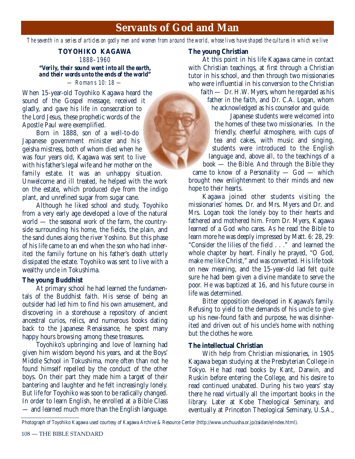# **Servants of God and Man**

*The seventh in a series of articles on godly men and women from around the world, whose lives have shaped the cultures in which we live*

# **TOYOHIKO KAGAWA** 1888–1960

*"Verily, their sound went into all the earth, and their words unto the ends of the world"* — Romans 10: 18 —

When 15-year-old Toyohiko Kagawa heard the sound of the Gospel message, received it gladly, and gave his life in consecration to the Lord Jesus, these prophetic words of the Apostle Paul were exemplified.

Born in 1888, son of a well-to-do Japanese government minister and his geisha mistress, both of whom died when he was four years old, Kagawa was sent to live with his father's legal wife and her mother on the family estate. It was an unhappy situation. Unwelcome and ill treated, he helped with the work on the estate, which produced dye from the indigo plant, and unrefined sugar from sugar cane.

Although he liked school and study, Toyohiko from a very early age developed a love of the natural world — the seasonal work of the farm, the countryside surrounding his home, the fields, the plain, and the sand dunes along the river Yoshino. But this phase of his life came to an end when the son who had inherited the family fortune on his father's death utterly dissipated the estate. Toyohiko was sent to live with a wealthy uncle in Tokushima.

#### **The young Buddhist**

At primary school he had learned the fundamentals of the Buddhist faith. His sense of being an outsider had led him to find his own amusement, and discovering in a storehouse a repository of ancient ancestral curios, relics, and numerous books dating back to the Japanese Renaissance, he spent many happy hours browsing among these treasures.

Toyohiko's upbringing and love of learning had given him wisdom beyond his years, and at the Boys' Middle School in Tokushima, more often than not he found himself repelled by the conduct of the other boys. On their part they made him a target of their bantering and laughter and he felt increasingly lonely. But life for Toyohiko was soon to be radically changed. In order to learn English, he enrolled at a Bible Class — and learned much more than the English language.

#### **The young Christian**

At this point in his life Kagawa came in contact with Christian teachings, at first through a Christian tutor in his school, and then through two missionaries who were influential in his conversion to the Christian faith — Dr. H.W. Myers, whom he regarded as his

father in the faith, and Dr. C.A. Logan, whom he acknowledged as his counselor and guide.

Japanese students were welcomed into the homes of these two missionaries. In the friendly, cheerful atmosphere, with cups of tea and cakes, with music and singing, students were introduced to the English language and, above all, to the teachings of a book — the Bible. And through the Bible they

came to know of a Personality — God — which brought new enlightenment to their minds and new hope to their hearts.

Kagawa joined other students visiting the missionaries' homes. Dr. and Mrs. Myers and Dr. and Mrs. Logan took the lonely boy to their hearts and fathered and mothered him. From Dr. Myers, Kagawa learned of a God who cares. As he read the Bible to learn more he was deeply impressed by Matt. 6: 28, 29: "Consider the lilies of the field . . ." and learned the whole chapter by heart. Finally he prayed, "O God, make me like Christ," and was converted. His life took on new meaning, and the 15-year-old lad felt quite sure he had been given a divine mandate to serve the poor. He was baptized at 16, and his future course in life was determined.

Bitter opposition developed in Kagawa's family. Refusing to yield to the demands of his uncle to give up his new-found faith and purpose, he was disinherited and driven out of his uncle's home with nothing but the clothes he wore.

# **The intellectual Christian**

With help from Christian missionaries, in 1905 Kagawa began studying at the Presbyterian College in Tokyo. He had read books by Kant, Darwin, and Ruskin before entering the College, and his desire to read continued unabated. During his two years' stay there he read virtually all the important books in the library. Later at Kobe Theological Seminary, and eventually at Princeton Theological Seminary, U.S.A.,

Photograph of Toyohiko Kagawa used courtesy of Kagawa Archive & Resource Center (http://www.unchuusha.or.jp/zaidan/e/index.html).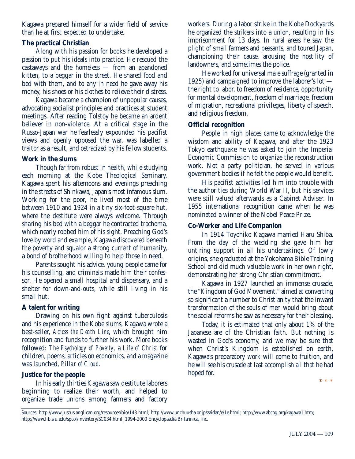Kagawa prepared himself for a wider field of service than he at first expected to undertake.

# **The practical Christian**

Along with his passion for books he developed a passion to put his ideals into practice. He rescued the castaways and the homeless — from an abandoned kitten, to a beggar in the street. He shared food and bed with them, and to any in need he gave away his money, his shoes or his clothes to relieve their distress.

Kagawa became a champion of unpopular causes, advocating socialist principles and practices at student meetings. After reading Tolstoy he became an ardent believer in non-violence. At a critical stage in the Russo-Japan war he fearlessly expounded his pacifist views and openly opposed the war, was labelled a traitor as a result, and ostracized by his fellow students.

# **Work in the slums**

Though far from robust in health, while studying each morning at the Kobe Theological Seminary, Kagawa spent his afternoons and evenings preaching in the streets of Shinkawa, Japan's most infamous slum. Working for the poor, he lived most of the time between 1910 and 1924 in a tiny six-foot-square hut, where the destitute were always welcome. Through sharing his bed with a beggar he contracted trachoma, which nearly robbed him of his sight. Preaching God's love by word and example, Kagawa discovered beneath the poverty and squalor a strong current of humanity, a bond of brotherhood willing to help those in need.

Parents sought his advice, young people came for his counselling, and criminals made him their confessor. He opened a small hospital and dispensary, and a shelter for down-and-outs, while still living in his small hut.

# **A talent for writing**

Drawing on his own fight against tuberculosis and his experience in the Kobe slums, Kagawa wrote a best-seller, *Across the Death Line*, which brought him recognition and funds to further his work. More books followed: *The Psychology of Poverty*, a *Life of Christ* for children, poems, articles on economics, and a magazine was launched, *Pillar of Cloud*.

# **Justice for the people**

In his early thirties Kagawa saw destitute laborers beginning to realize their worth, and helped to organize trade unions among farmers and factory

workers. During a labor strike in the Kobe Dockyards he organized the strikers into a union, resulting in his imprisonment for 13 days. In rural areas he saw the plight of small farmers and peasants, and toured Japan, championing their cause, arousing the hostility of landowners, and sometimes the police.

He worked for universal male suffrage (granted in 1925) and campaigned to improve the laborer's lot the right to labor, to freedom of residence, opportunity for mental development, freedom of marriage, freedom of migration, recreational privileges, liberty of speech, and religious freedom.

# **Official recognition**

People in high places came to acknowledge the wisdom and ability of Kagawa, and after the 1923 Tokyo earthquake he was asked to join the Imperial Economic Commission to organize the reconstruction work. Not a party politician, he served in various government bodies if he felt the people would benefit.

His pacifist activities led him into trouble with the authorities during World War II, but his services were still valued afterwards as a Cabinet Adviser. In 1955 international recognition came when he was nominated a winner of the Nobel Peace Prize.

# **Co-Worker and Life Companion**

In 1914 Toyohiko Kagawa married Haru Shiba. From the day of the wedding she gave him her untiring support in all his undertakings. Of lowly origins, she graduated at the Yokohama Bible Training School and did much valuable work in her own right, demonstrating her strong Christian commitment.

Kagawa in 1927 launched an immense crusade, the "Kingdom of God Movement," aimed at converting so significant a number to Christianity that the inward transformation of the souls of men would bring about the social reforms he saw as necessary for their blessing.

Today, it is estimated that only about 1% of the Japanese are of the Christian faith. But nothing is wasted in God's economy, and we may be sure that when Christ's Kingdom is established on earth, Kagawa's preparatory work will come to fruition, and he will see his crusade at last accomplish all that he had hoped for.

Sources: http://www.justus.anglican.org/resources/bio/143.html; http://www.unchuusha.or.jp/zaidan/e/1e.html; http://www.abcog.org/kagawa1.htm; http://www.lib.siu.edu/spcol/inventory/SC034.html; 1994-2000 Encyclopaedia Britannica, Inc.

\*\*\*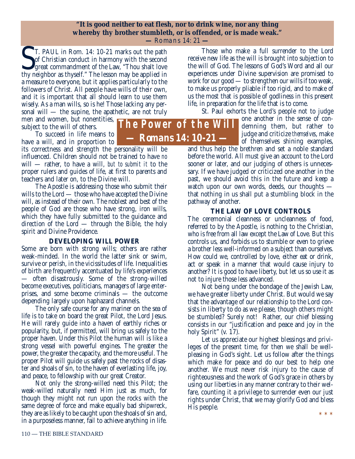#### **"It is good neither to eat flesh, nor to drink wine, nor any thing whereby thy brother stumbleth, or is offended, or is made weak." —** Romans 14: 21 **—**

T. PAUL in Rom. 14: 10-21 marks out the path of Christian conduct in harmony with the second great commandment of the Law, "Thou shalt love thy neighbor as thyself." The lesson may be applied in of Christian conduct in harmony with the second great commandment of the Law, "Thou shalt love thy neighbor as thyself." The lesson may be applied in a measure to everyone, but it applies particularly to the followers of Christ. All people have wills of their own, and it is important that all should learn to use them wisely. As a man wills, so is he! Those lacking any personal will — the supine, the apathetic, are not truly

men and women, but nonentities, subject to the will of others.

To succeed in life means to have a will, and in proportion to

its correctness and strength the personality will be influenced. Children should not be trained to have *no* will — rather, to have a will, *but to submit it* to the proper rulers and guides of life, at first to parents and teachers and later on, to the Divine will.

The Apostle is addressing those who submit their wills to the Lord — those who have accepted the Divine will, as instead of their own. The noblest and best of the people of God are those who have strong, iron wills, which they have fully submitted to the guidance and direction of the Lord — through the Bible, the holy spirit and Divine Providence.

# **DEVELOPING WILL POWER**

Some are born with strong wills; others are rather weak-minded. In the world the latter sink or swim, survive or perish, in the vicissitudes of life. Inequalities of birth are frequently accentuated by life's experiences — often disastrously. Some of the strong-willed become executives, politicians, managers of large enterprises, and some become criminals — the outcome depending largely upon haphazard channels.

The only safe course for any mariner on the sea of life is to take on board the great Pilot, the Lord Jesus. He will rarely guide into a haven of earthly riches or popularity, but, if permitted, will bring us safely to the proper haven. Under this Pilot the human will is like a strong vessel with powerful engines. The greater the power, the greater the capacity, and the more useful. The proper Pilot will guide us safely past the rocks of disaster and shoals of sin, to the haven of everlasting life, joy, and peace, to fellowship with our great Creator.

Not only the strong-willed need this Pilot; the weak-willed naturally need Him just as much, for though they might not run upon the rocks with the same degree of force and make equally bad shipwreck, they are as likely to be caught upon the shoals of sin and, in a purposeless manner, fail to achieve anything in life.

**The Power of the Will** *— Romans 14: 10-21 —*

Those who make a full surrender to the Lord receive new life as the will is brought into subjection to the will of God. The lessons of God's Word and all our experiences under Divine supervision are promised to work for our good — to strengthen our wills if too weak, to make us properly pliable if too rigid, and to make of us the most that is possible of godliness in this present life, in preparation for the life that is to come.

St. Paul exhorts the Lord's people not to judge

one another in the sense of condemning them, but rather to judge and criticize *themselves*, make of themselves shining examples,

and thus help the brethren and set a noble standard before the world. All must give an account to the Lord sooner or later, and our judging of others is unnecessary. If we have judged or criticized one another in the past, we should avoid this in the future and keep a watch upon our own words, deeds, our thoughts that nothing in us shall put a stumbling block in the pathway of another.

# **THE LAW OF LOVE CONTROLS**

The ceremonial cleanness or uncleanness of food, referred to by the Apostle, is nothing to the Christian, who is free from all law except the Law of Love. But this controls us, and forbids us to stumble or even to grieve a brother less well-informed on a subject than ourselves. How could we, controlled by love, either eat or drink, act or speak in a manner that would cause injury to another? It is good to have liberty, but let us so use it as not to injure those less advanced.

Not being under the bondage of the Jewish Law, we have greater liberty under Christ. But would we say that the advantage of our relationship to the Lord consists in liberty to do as we please, though others might be stumbled? Surely not! Rather, our chief blessing consists in our "justification and peace and joy in the holy Spirit" (v. 17).

Let us appreciate our highest blessings and privileges of the present time, for then we shall be wellpleasing in God's sight. Let us follow after the things which make for peace and do our best to help one another. We must never risk injury to the cause of righteousness and the work of God's grace in others by using our liberties in any manner contrary to their welfare, counting it a privilege to surrender even our just rights under Christ, that we may glorify God and bless His people. \* \* \*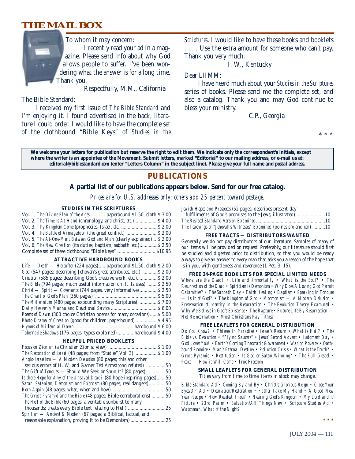# **THE MAIL BOX**



Respectfully, M.M., California

The Bible Standard:

I received my first issue of *The Bible Standard* and I'm enjoying it. I found advertised in the back, literature I could order. I would like to have the complete set of the clothbound "Bible Keys" of *Studies in the* *Scriptures*. I would like to have these books and booklets . . . . Use the extra amount for someone who can't pay. Thank you very much.

I. W., Kentucky

Dear LHMM:

I have heard much about your *Studies in the Scriptures* series of books. Please send me the complete set, and also a catalog. Thank you and may God continue to bless your ministry.

C.P., Georgia

\* \* \*

**We welcome your letters for publication but reserve the right to edit them. We indicate only the correspondent's initials, except where the writer is an appointee of the Movement. Submit letters, marked "Editorial" to our mailing address, or e-mail us at:** *editorial@biblestandard.com* **(enter "Letters Column" in the subject line).** *Please give your full name and postal address.*

# **PUBLICATIONS**

#### **A partial list of our publications appears below. Send for our free catalog.**

*Prices are for U.S. addresses only; others add 25 percent toward postage.*

#### **STUDIES IN THE SCRIPTURES**

| Vol. 1, The Divine Plan of the Ages  paperbound \$1.50, cloth \$3.00     |  |
|--------------------------------------------------------------------------|--|
| Vol. 2, The Time Is At Hand (chronology, antichrist, etc.) \$4.00        |  |
|                                                                          |  |
| Vol. 4, The Battle of Armageddon (the great conflict)  \$ 2.00           |  |
| Vol. 5, The At-One-Ment Between God and Man (clearly explained)  \$ 2.00 |  |
| Vol. 6, The New Creation (its duties, baptism, sabbath, etc.) \$2.50     |  |
|                                                                          |  |

#### **ATTRACTIVE HARDBOUND BOOKS**

#### **HELPFUL PRICED BOOKLETS**

| <i>The Restoration of Israel</i> (48 pages; from " <i>Studies</i> " Vol. 3)  \$ 1.00 |     |
|--------------------------------------------------------------------------------------|-----|
| Anglo-Israelism — A Modern Delusion (80 pages; this and other                        |     |
| serious errors of H. W. and Garner Ted Armstrong refuted) 50                         |     |
| <i>The Gift of Tongues</i> — Should We Seek or Shun It? (80 pages) 50                |     |
| Is there Hope for Any of the Unsaved Dead? (80 hope-inspiring pages)50               |     |
| Satan, Satanism, Demonism and Exorcism (80 pages; real dangers)50                    |     |
|                                                                                      |     |
| The Great Pyramid and the Bible (48 pages; Bible corroborations) 50                  |     |
| The Hell of the Bible (60 pages; a veritable sunburst to many                        |     |
| thousands; treats every Bible text relating to Hell)                                 | .25 |
| Spiritism - Ancient & Modern (67 pages; a Biblical, factual, and                     |     |
| reasonable explanation, proving it to be Demonism)                                   | .25 |

*Jewish Hopes and Prospects* (52 pages; describes present-day

| The Teachings of "Jehovah's Witnesses" Examined (points pro and con) 10 |  |
|-------------------------------------------------------------------------|--|

#### **FREE TRACTS — DISTRIBUTORS WANTED**

Generally we do not pay distributors of our literature. Samples of many of our items will be provided on request. Preferably, our literature should first be studied and digested prior to distribution, so that you would be ready always to give an answer to every man that asks you a reason of the hope that is in you, with gentleness and reverence (1 Pet. 3: 15).

#### **FREE 24-PAGE BOOKLETS FOR SPECIAL LIMITED NEEDS**

*Where are the Dead? • Life and Immortality • What is the Soul? • The Resurrection of the Dead • Spiritism is Demonism • Why Does A Loving God Permit Calamities? • The Sabbath Day • Faith Healing • Baptism • Speaking in Tongues — Is it of God? • The Kingdom of God • Mormonism — A Modern Delusion • Preservation of Identity in the Resurrection • The Evolution Theory Examined • Why We Believe in God's Existence • The Rapture • Future Life By Resurrection — Not Reincarnation • Must Christians Pay Tithes?*

#### **FREE LEAFLETS FOR GENERAL DISTRIBUTION**

*Do You Know? • Thieves In Paradise • Israel's Return • What is Hell? • The Bible vs. Evolution • "Flying Saucers" • Jesus' Second Advent • Judgment Day • God Loves You! • Earth's Coming Theocratic Government • War on Poverty • Oathbound Promise • Man's Eternal Destiny • Pollution Crisis • What is the Truth? • Great Pyramid • Restitution • Is God or Satan Winning? • The Full Gospel • Peace — How it Will Come • True Freedom*

#### **SMALL LEAFLETS FOR GENERAL DISTRIBUTION**

Titles vary from time to time; items in stock may change.

*Bible Standard Ad • Coming By and By • Christ's Glorious Reign • Close Your Eyes/DP Ad • Desolation/Restoration • Father Take My Hand • A Good New Year Recipe • How Readest Thou? • Nearing God's Kingdom • My Lord and I/ Picture • 23rd Psalm • Salvation/All Things New • Scripture Studies Ad • Watchman, What of the Night?*

**\*\*\***